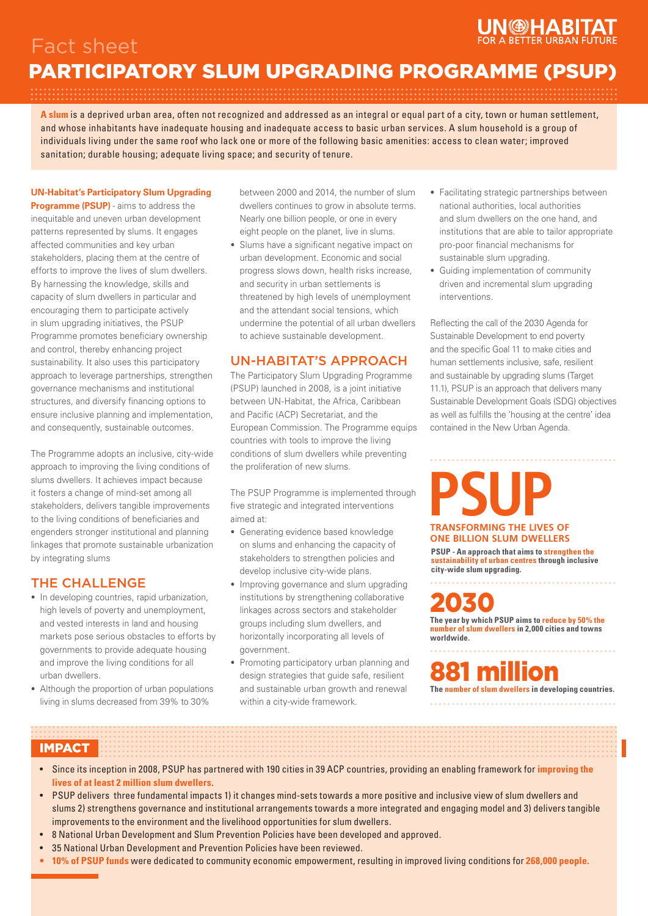# **VICHABI**

## Fact sheet PARTICIPATORY SLUM UPGRADING PROGRAMME (PSUP)

**A slum** is a deprived urban area, often not recognized and addressed as an integral or equal part of a city, town or human settlement, and whose inhabitants have inadequate housing and inadequate access to basic urban services. A slum household is a group of individuals living under the same roof who lack one or more of the following basic amenities: access to clean water; improved sanitation; durable housing; adequate living space; and security of tenure.

### **UN-Habitat's Participatory Slum Upgrading**

**Programme (PSUP)** - aims to address the inequitable and uneven urban development patterns represented by slums. It engages affected communities and key urban stakeholders, placing them at the centre of efforts to improve the lives of slum dwellers. By harnessing the knowledge, skills and capacity of slum dwellers in particular and encouraging them to participate actively in slum upgrading initiatives, the PSUP Programme promotes beneficiary ownership and control, thereby enhancing project sustainability. It also uses this participatory approach to leverage partnerships, strengthen governance mechanisms and institutional structures, and diversify financing options to ensure inclusive planning and implementation, and consequently, sustainable outcomes.

The Programme adopts an inclusive, city-wide approach to improving the living conditions of slums dwellers. It achieves impact because it fosters a change of mind-set among all stakeholders, delivers tangible improvements to the living conditions of beneficiaries and engenders stronger institutional and planning linkages that promote sustainable urbanization by integrating slums

## THE CHALLENGE

- In developing countries, rapid urbanization, high levels of poverty and unemployment, and vested interests in land and housing markets pose serious obstacles to efforts by governments to provide adequate housing and improve the living conditions for all urban dwellers.
- Although the proportion of urban populations living in slums decreased from 39% to 30%

between 2000 and 2014, the number of slum dwellers continues to grow in absolute terms. Nearly one billion people, or one in every eight people on the planet, live in slums.

• Slums have a significant negative impact on urban development. Economic and social progress slows down, health risks increase, and security in urban settlements is threatened by high levels of unemployment and the attendant social tensions, which undermine the potential of all urban dwellers to achieve sustainable development.

## UN-HABITAT'S APPROACH

The Participatory Slum Upgrading Programme (PSUP) launched in 2008, is a joint initiative between UN-Habitat, the Africa, Caribbean and Pacific (ACP) Secretariat, and the European Commission. The Programme equips countries with tools to improve the living conditions of slum dwellers while preventing the proliferation of new slums.

The PSUP Programme is implemented through five strategic and integrated interventions aimed at:

- Generating evidence based knowledge on slums and enhancing the capacity of stakeholders to strengthen policies and develop inclusive city-wide plans.
- Improving governance and slum upgrading institutions by strengthening collaborative linkages across sectors and stakeholder groups including slum dwellers, and horizontally incorporating all levels of government.
- Promoting participatory urban planning and design strategies that guide safe, resilient and sustainable urban growth and renewal within a city-wide framework.
- Facilitating strategic partnerships between national authorities, local authorities and slum dwellers on the one hand, and institutions that are able to tailor appropriate pro-poor financial mechanisms for sustainable slum upgrading.
- Guiding implementation of community driven and incremental slum upgrading interventions.

Reflecting the call of the 2030 Agenda for Sustainable Development to end poverty and the specific Goal 11 to make cities and human settlements inclusive, safe, resilient and sustainable by upgrading slums (Target 11.1), PSUP is an approach that delivers many Sustainable Development Goals (SDG) objectives as well as fulfills the 'housing at the centre' idea contained in the New Urban Agenda.

# **PSUP TRANSFORMING THE LIVES OF ONE BILLION SLUM DWELLERS**

**PSUP - An approach that aims to strengthen the sustainability of urban centres through inclusive city-wide slum upgrading.**

2030 **The year by which PSUP aims to reduce by 50% the number of slum dwellers in 2,000 cities and towns worldwide.**

lon **The number of slum dwellers in developing countries.**

## IMPACT

- Since its inception in 2008, PSUP has partnered with 190 cities in 39 ACP countries, providing an enabling framework for **improving the lives of at least 2 million slum dwellers**.
- PSUP delivers three fundamental impacts 1) it changes mind-sets towards a more positive and inclusive view of slum dwellers and slums 2) strengthens governance and institutional arrangements towards a more integrated and engaging model and 3) delivers tangible improvements to the environment and the livelihood opportunities for slum dwellers.
- 8 National Urban Development and Slum Prevention Policies have been developed and approved.
- 35 National Urban Development and Prevention Policies have been reviewed.
- **• 10% of PSUP funds** were dedicated to community economic empowerment, resulting in improved living conditions for **268,000 people.**